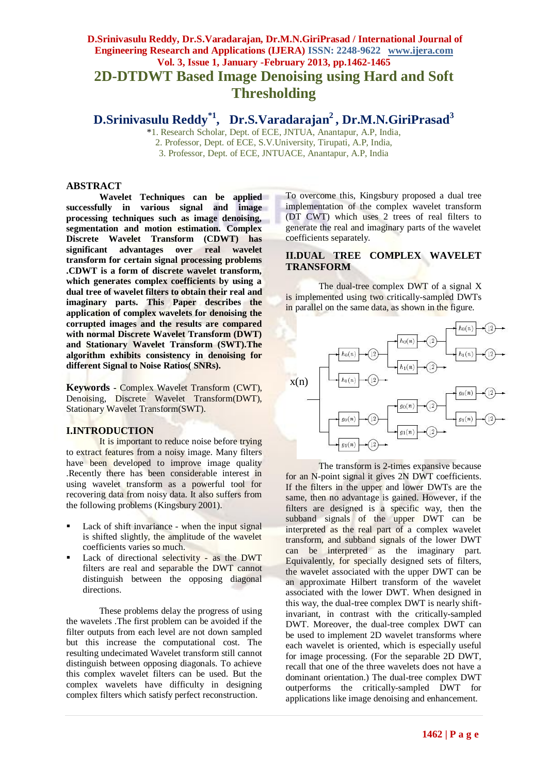# **D.Srinivasulu Reddy, Dr.S.Varadarajan, Dr.M.N.GiriPrasad / International Journal of Engineering Research and Applications (IJERA) ISSN: 2248-9622 www.ijera.com Vol. 3, Issue 1, January -February 2013, pp.1462-1465 2D-DTDWT Based Image Denoising using Hard and Soft Thresholding**

**D.Srinivasulu Reddy\*1 , Dr.S.Varadarajan<sup>2</sup> , Dr.M.N.GiriPrasad<sup>3</sup>**

\*1. Research Scholar, Dept. of ECE, JNTUA, Anantapur, A.P, India, 2. Professor, Dept. of ECE, S.V.University, Tirupati, A.P, India, 3. Professor, Dept. of ECE, JNTUACE, Anantapur, A.P, India

#### **ABSTRACT**

**Wavelet Techniques can be applied successfully in various signal and image processing techniques such as image denoising, segmentation and motion estimation. Complex Discrete Wavelet Transform (CDWT) has significant advantages over real wavelet transform for certain signal processing problems .CDWT is a form of discrete wavelet transform, which generates complex coefficients by using a dual tree of wavelet filters to obtain their real and imaginary parts. This Paper describes the application of complex wavelets for denoising the corrupted images and the results are compared with normal Discrete Wavelet Transform (DWT) and Stationary Wavelet Transform (SWT).The algorithm exhibits consistency in denoising for different Signal to Noise Ratios( SNRs).**

**Keywords -** Complex Wavelet Transform (CWT), Denoising, Discrete Wavelet Transform(DWT), Stationary Wavelet Transform(SWT).

### **I.INTRODUCTION**

It is important to reduce noise before trying to extract features from a noisy image. Many filters have been developed to improve image quality .Recently there has been considerable interest in using wavelet transform as a powerful tool for recovering data from noisy data. It also suffers from the following problems (Kingsbury 2001).

- Lack of shift invariance when the input signal is shifted slightly, the amplitude of the wavelet coefficients varies so much.
- Lack of directional selectivity as the DWT filters are real and separable the DWT cannot distinguish between the opposing diagonal directions.

These problems delay the progress of using the wavelets .The first problem can be avoided if the filter outputs from each level are not down sampled but this increase the computational cost. The resulting undecimated Wavelet transform still cannot distinguish between opposing diagonals. To achieve this complex wavelet filters can be used. But the complex wavelets have difficulty in designing complex filters which satisfy perfect reconstruction.

To overcome this, Kingsbury proposed a dual tree implementation of the complex wavelet transform (DT CWT) which uses 2 trees of real filters to generate the real and imaginary parts of the wavelet coefficients separately.

#### **II.DUAL TREE COMPLEX WAVELET TRANSFORM**

The dual-tree complex DWT of a signal X is implemented using two critically-sampled DWTs in parallel on the same data, as shown in the figure.



The transform is 2-times expansive because for an N-point signal it gives 2N DWT coefficients. If the filters in the upper and lower DWTs are the same, then no advantage is gained. However, if the filters are designed is a specific way, then the subband signals of the upper DWT can be interpreted as the real part of a complex wavelet transform, and subband signals of the lower DWT can be interpreted as the imaginary part. Equivalently, for specially designed sets of filters, the wavelet associated with the upper DWT can be an approximate Hilbert transform of the wavelet associated with the lower DWT. When designed in this way, the dual-tree complex DWT is nearly shiftinvariant, in contrast with the critically-sampled DWT. Moreover, the dual-tree complex DWT can be used to implement 2D wavelet transforms where each wavelet is oriented, which is especially useful for image processing. (For the separable 2D DWT, recall that one of the three wavelets does not have a dominant orientation.) The dual-tree complex DWT outperforms the critically-sampled DWT for applications like image denoising and enhancement.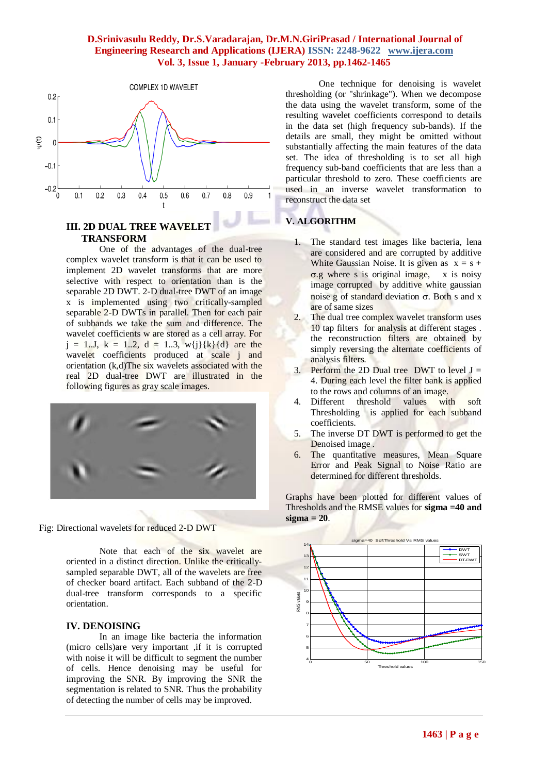### **D.Srinivasulu Reddy, Dr.S.Varadarajan, Dr.M.N.GiriPrasad / International Journal of Engineering Research and Applications (IJERA) ISSN: 2248-9622 www.ijera.com Vol. 3, Issue 1, January -February 2013, pp.1462-1465**



## **III. 2D DUAL TREE WAVELET TRANSFORM**

One of the advantages of the dual-tree complex wavelet transform is that it can be used to implement 2D wavelet transforms that are more selective with respect to orientation than is the separable 2D DWT. 2-D dual-tree DWT of an image x is implemented using two critically-sampled separable 2-D DWTs in parallel. Then for each pair of subbands we take the sum and difference. The wavelet coefficients w are stored as a cell array. For  $j = 1...J$ ,  $k = 1...2$ ,  $d = 1...3$ ,  $w{j}{k}{d}$  are the wavelet coefficients produced at scale j and orientation (k,d)The six wavelets associated with the real 2D dual-tree DWT are illustrated in the following figures as gray scale images.



Fig: Directional wavelets for reduced 2-D DWT

Note that each of the six wavelet are oriented in a distinct direction. Unlike the criticallysampled separable DWT, all of the wavelets are free of checker board artifact. Each subband of the 2-D dual-tree transform corresponds to a specific orientation.

### **IV. DENOISING**

In an image like bacteria the information (micro cells)are very important ,if it is corrupted with noise it will be difficult to segment the number of cells. Hence denoising may be useful for improving the SNR. By improving the SNR the segmentation is related to SNR. Thus the probability of detecting the number of cells may be improved.

One technique for denoising is wavelet thresholding (or "shrinkage"). When we decompose the data using the wavelet transform, some of the resulting wavelet coefficients correspond to details in the data set (high frequency sub-bands). If the details are small, they might be omitted without substantially affecting the main features of the data set. The idea of thresholding is to set all high frequency sub-band coefficients that are less than a particular threshold to zero. These coefficients are used in an inverse wavelet transformation to reconstruct the data set

# **V. ALGORITHM**

- 1. The standard test images like bacteria, lena are considered and are corrupted by additive White Gaussian Noise. It is given as  $x = s +$  $\sigma$ .g where s is original image, x is noisy image corrupted by additive white gaussian noise g of standard deviation  $\sigma$ . Both s and x are of same sizes
- 2. The dual tree complex wavelet transform uses 10 tap filters for analysis at different stages . the reconstruction filters are obtained by simply reversing the alternate coefficients of analysis filters.
- 3. Perform the 2D Dual tree DWT to level  $J =$ 4. During each level the filter bank is applied to the rows and columns of an image.
- 4. Different threshold values with soft Thresholding is applied for each subband coefficients.
- 5. The inverse DT DWT is performed to get the Denoised image .
- 6. The quantitative measures, Mean Square Error and Peak Signal to Noise Ratio are determined for different thresholds.

Graphs have been plotted for different values of Thresholds and the RMSE values for **sigma =40 and sigma = 20**.

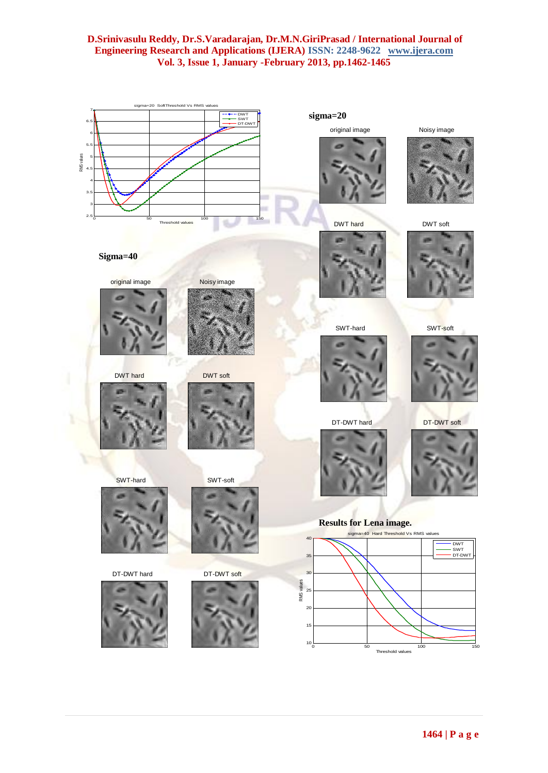## **D.Srinivasulu Reddy, Dr.S.Varadarajan, Dr.M.N.GiriPrasad / International Journal of Engineering Research and Applications (IJERA) ISSN: 2248-9622 www.ijera.com Vol. 3, Issue 1, January -February 2013, pp.1462-1465**